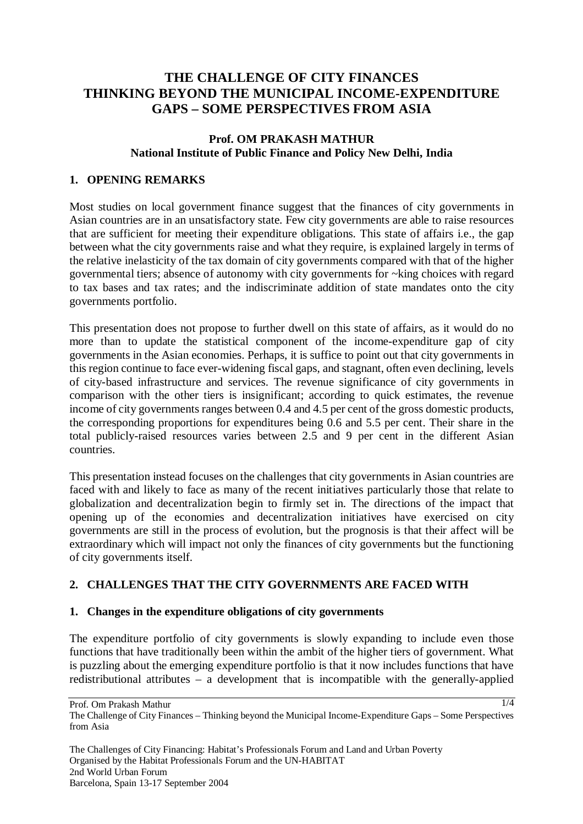# **THE CHALLENGE OF CITY FINANCES THINKING BEYOND THE MUNICIPAL INCOME-EXPENDITURE GAPS – SOME PERSPECTIVES FROM ASIA**

## **Prof. OM PRAKASH MATHUR National Institute of Public Finance and Policy New Delhi, India**

# **1. OPENING REMARKS**

Most studies on local government finance suggest that the finances of city governments in Asian countries are in an unsatisfactory state. Few city governments are able to raise resources that are sufficient for meeting their expenditure obligations. This state of affairs i.e., the gap between what the city governments raise and what they require, is explained largely in terms of the relative inelasticity of the tax domain of city governments compared with that of the higher governmental tiers; absence of autonomy with city governments for ~king choices with regard to tax bases and tax rates; and the indiscriminate addition of state mandates onto the city governments portfolio.

This presentation does not propose to further dwell on this state of affairs, as it would do no more than to update the statistical component of the income-expenditure gap of city governments in the Asian economies. Perhaps, it is suffice to point out that city governments in this region continue to face ever-widening fiscal gaps, and stagnant, often even declining, levels of city-based infrastructure and services. The revenue significance of city governments in comparison with the other tiers is insignificant; according to quick estimates, the revenue income of city governments ranges between 0.4 and 4.5 per cent of the gross domestic products, the corresponding proportions for expenditures being 0.6 and 5.5 per cent. Their share in the total publicly-raised resources varies between 2.5 and 9 per cent in the different Asian countries.

This presentation instead focuses on the challenges that city governments in Asian countries are faced with and likely to face as many of the recent initiatives particularly those that relate to globalization and decentralization begin to firmly set in. The directions of the impact that opening up of the economies and decentralization initiatives have exercised on city governments are still in the process of evolution, but the prognosis is that their affect will be extraordinary which will impact not only the finances of city governments but the functioning of city governments itself.

## **2. CHALLENGES THAT THE CITY GOVERNMENTS ARE FACED WITH**

## **1. Changes in the expenditure obligations of city governments**

The expenditure portfolio of city governments is slowly expanding to include even those functions that have traditionally been within the ambit of the higher tiers of government. What is puzzling about the emerging expenditure portfolio is that it now includes functions that have redistributional attributes – a development that is incompatible with the generally-applied

Prof. Om Prakash Mathur The Challenge of City Finances – Thinking beyond the Municipal Income-Expenditure Gaps – Some Perspectives from Asia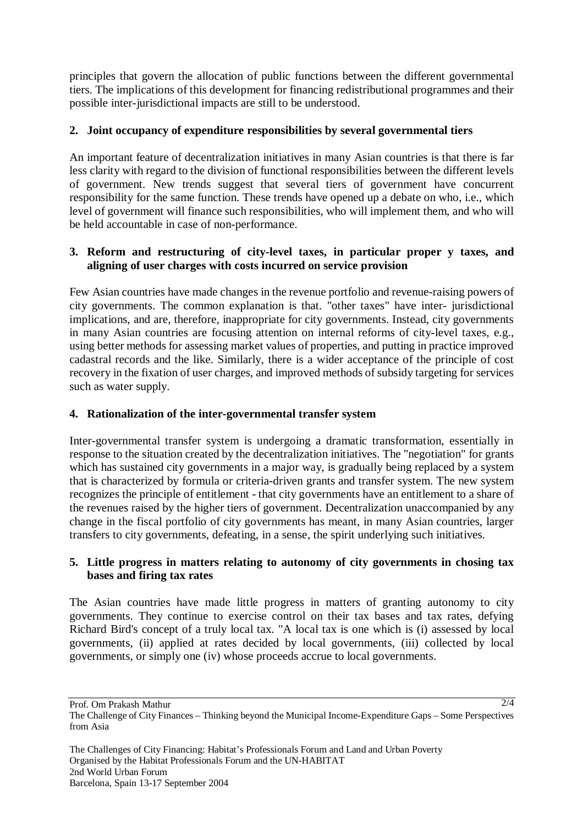principles that govern the allocation of public functions between the different governmental tiers. The implications of this development for financing redistributional programmes and their possible inter-jurisdictional impacts are still to be understood.

# **2. Joint occupancy of expenditure responsibilities by several governmental tiers**

An important feature of decentralization initiatives in many Asian countries is that there is far less clarity with regard to the division of functional responsibilities between the different levels of government. New trends suggest that several tiers of government have concurrent responsibility for the same function. These trends have opened up a debate on who, i.e., which level of government will finance such responsibilities, who will implement them, and who will be held accountable in case of non-performance.

## **3. Reform and restructuring of city-level taxes, in particular proper y taxes, and aligning of user charges with costs incurred on service provision**

Few Asian countries have made changes in the revenue portfolio and revenue-raising powers of city governments. The common explanation is that. "other taxes" have inter- jurisdictional implications, and are, therefore, inappropriate for city governments. Instead, city governments in many Asian countries are focusing attention on internal reforms of city-level taxes, e.g., using better methods for assessing market values of properties, and putting in practice improved cadastral records and the like. Similarly, there is a wider acceptance of the principle of cost recovery in the fixation of user charges, and improved methods of subsidy targeting for services such as water supply.

# **4. Rationalization of the inter-governmental transfer system**

Inter-governmental transfer system is undergoing a dramatic transformation, essentially in response to the situation created by the decentralization initiatives. The "negotiation" for grants which has sustained city governments in a major way, is gradually being replaced by a system that is characterized by formula or criteria-driven grants and transfer system. The new system recognizes the principle of entitlement - that city governments have an entitlement to a share of the revenues raised by the higher tiers of government. Decentralization unaccompanied by any change in the fiscal portfolio of city governments has meant, in many Asian countries, larger transfers to city governments, defeating, in a sense, the spirit underlying such initiatives.

#### **5. Little progress in matters relating to autonomy of city governments in chosing tax bases and firing tax rates**

The Asian countries have made little progress in matters of granting autonomy to city governments. They continue to exercise control on their tax bases and tax rates, defying Richard Bird's concept of a truly local tax. "A local tax is one which is (i) assessed by local governments, (ii) applied at rates decided by local governments, (iii) collected by local governments, or simply one (iv) whose proceeds accrue to local governments.

Prof. Om Prakash Mathur

The Challenge of City Finances – Thinking beyond the Municipal Income-Expenditure Gaps – Some Perspectives from Asia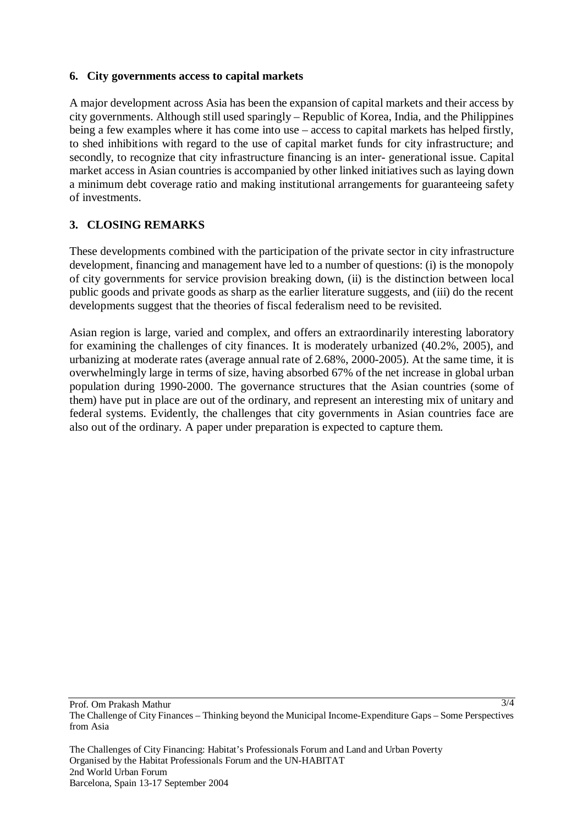#### **6. City governments access to capital markets**

A major development across Asia has been the expansion of capital markets and their access by city governments. Although still used sparingly – Republic of Korea, India, and the Philippines being a few examples where it has come into use – access to capital markets has helped firstly, to shed inhibitions with regard to the use of capital market funds for city infrastructure; and secondly, to recognize that city infrastructure financing is an inter- generational issue. Capital market access in Asian countries is accompanied by other linked initiatives such as laying down a minimum debt coverage ratio and making institutional arrangements for guaranteeing safety of investments.

## **3. CLOSING REMARKS**

These developments combined with the participation of the private sector in city infrastructure development, financing and management have led to a number of questions: (i) is the monopoly of city governments for service provision breaking down, (ii) is the distinction between local public goods and private goods as sharp as the earlier literature suggests, and (iii) do the recent developments suggest that the theories of fiscal federalism need to be revisited.

Asian region is large, varied and complex, and offers an extraordinarily interesting laboratory for examining the challenges of city finances. It is moderately urbanized (40.2%, 2005), and urbanizing at moderate rates (average annual rate of 2.68%, 2000-2005). At the same time, it is overwhelmingly large in terms of size, having absorbed 67% of the net increase in global urban population during 1990-2000. The governance structures that the Asian countries (some of them) have put in place are out of the ordinary, and represent an interesting mix of unitary and federal systems. Evidently, the challenges that city governments in Asian countries face are also out of the ordinary. A paper under preparation is expected to capture them.

3/4